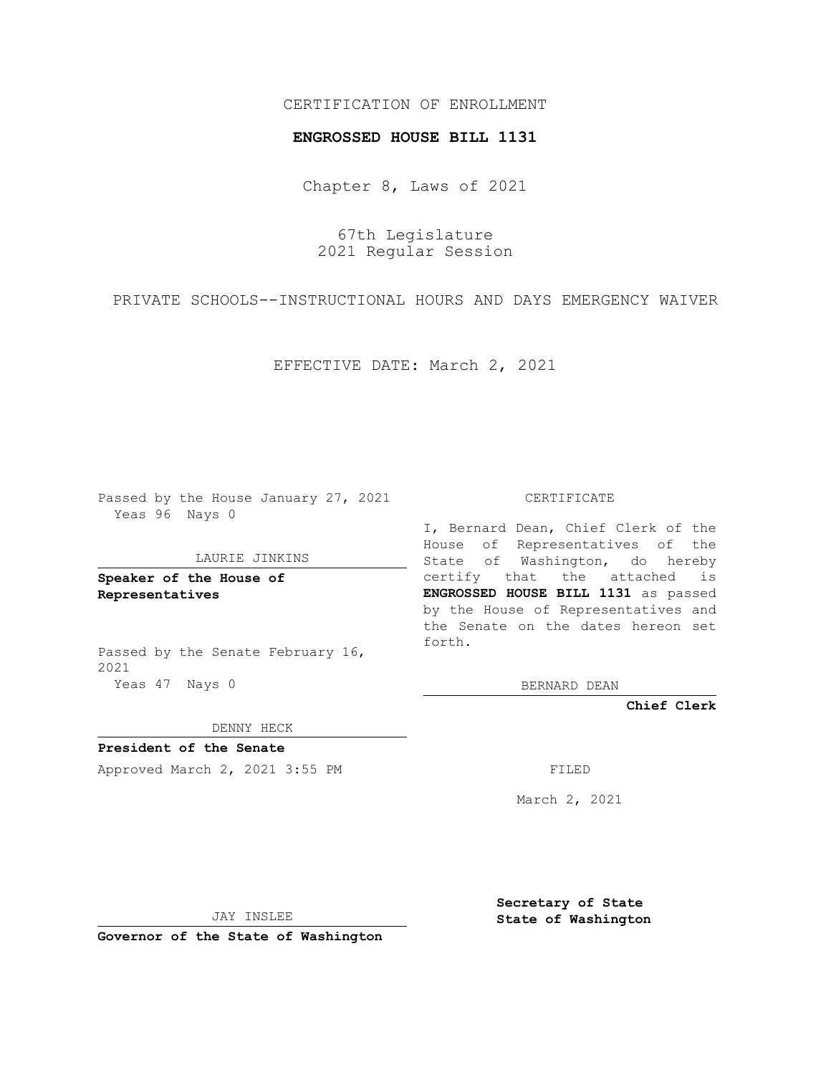# CERTIFICATION OF ENROLLMENT

### **ENGROSSED HOUSE BILL 1131**

Chapter 8, Laws of 2021

67th Legislature 2021 Regular Session

PRIVATE SCHOOLS--INSTRUCTIONAL HOURS AND DAYS EMERGENCY WAIVER

EFFECTIVE DATE: March 2, 2021

Passed by the House January 27, 2021 Yeas 96 Nays 0

#### LAURIE JINKINS

**Speaker of the House of Representatives**

Passed by the Senate February 16, 2021 Yeas 47 Nays 0

#### CERTIFICATE

I, Bernard Dean, Chief Clerk of the House of Representatives of the State of Washington, do hereby certify that the attached is **ENGROSSED HOUSE BILL 1131** as passed by the House of Representatives and the Senate on the dates hereon set forth.

BERNARD DEAN

**Chief Clerk**

DENNY HECK

**President of the Senate**

Approved March 2, 2021 3:55 PM FILED

March 2, 2021

JAY INSLEE

**Secretary of State State of Washington**

**Governor of the State of Washington**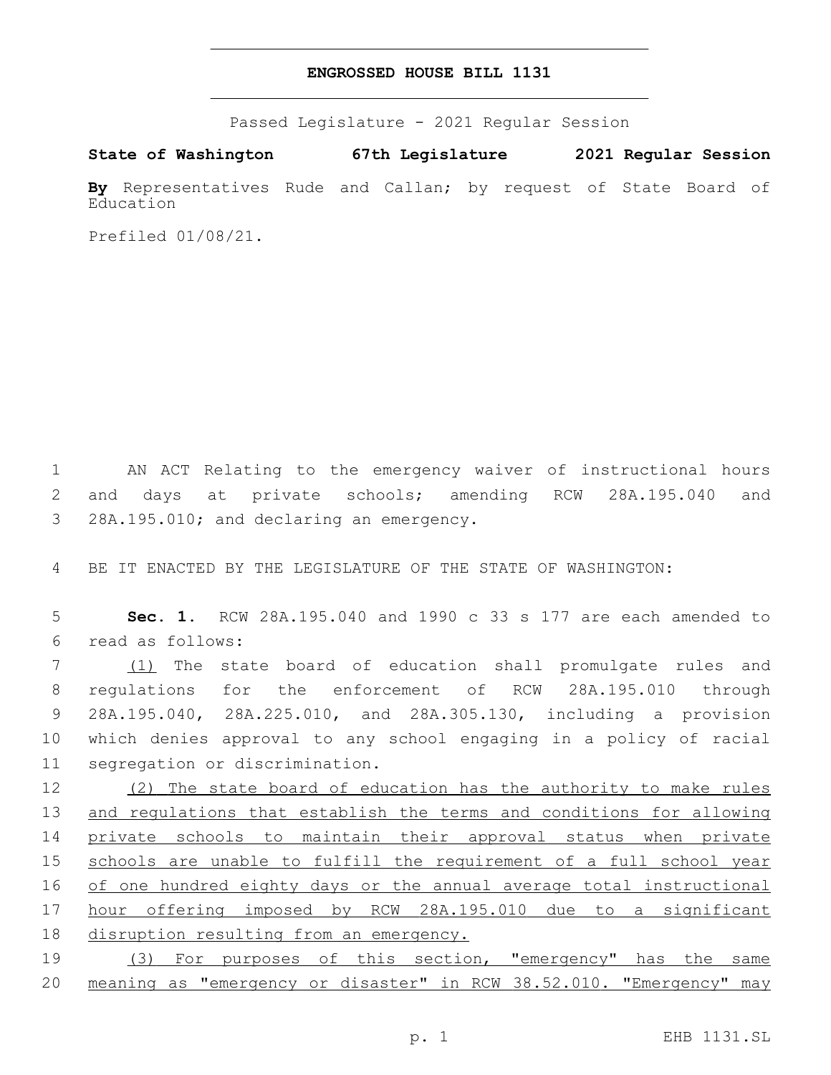## **ENGROSSED HOUSE BILL 1131**

Passed Legislature - 2021 Regular Session

**State of Washington 67th Legislature 2021 Regular Session**

**By** Representatives Rude and Callan; by request of State Board of Education

Prefiled 01/08/21.

1 AN ACT Relating to the emergency waiver of instructional hours 2 and days at private schools; amending RCW 28A.195.040 and 3 28A.195.010; and declaring an emergency.

4 BE IT ENACTED BY THE LEGISLATURE OF THE STATE OF WASHINGTON:

5 **Sec. 1.** RCW 28A.195.040 and 1990 c 33 s 177 are each amended to read as follows:6

7 (1) The state board of education shall promulgate rules and 8 regulations for the enforcement of RCW 28A.195.010 through 9 28A.195.040, 28A.225.010, and 28A.305.130, including a provision 10 which denies approval to any school engaging in a policy of racial 11 segregation or discrimination.

12 (2) The state board of education has the authority to make rules 13 and regulations that establish the terms and conditions for allowing 14 private schools to maintain their approval status when private 15 schools are unable to fulfill the requirement of a full school year 16 of one hundred eighty days or the annual average total instructional 17 hour offering imposed by RCW 28A.195.010 due to a significant 18 disruption resulting from an emergency.

19 (3) For purposes of this section, "emergency" has the same 20 meaning as "emergency or disaster" in RCW 38.52.010. "Emergency" may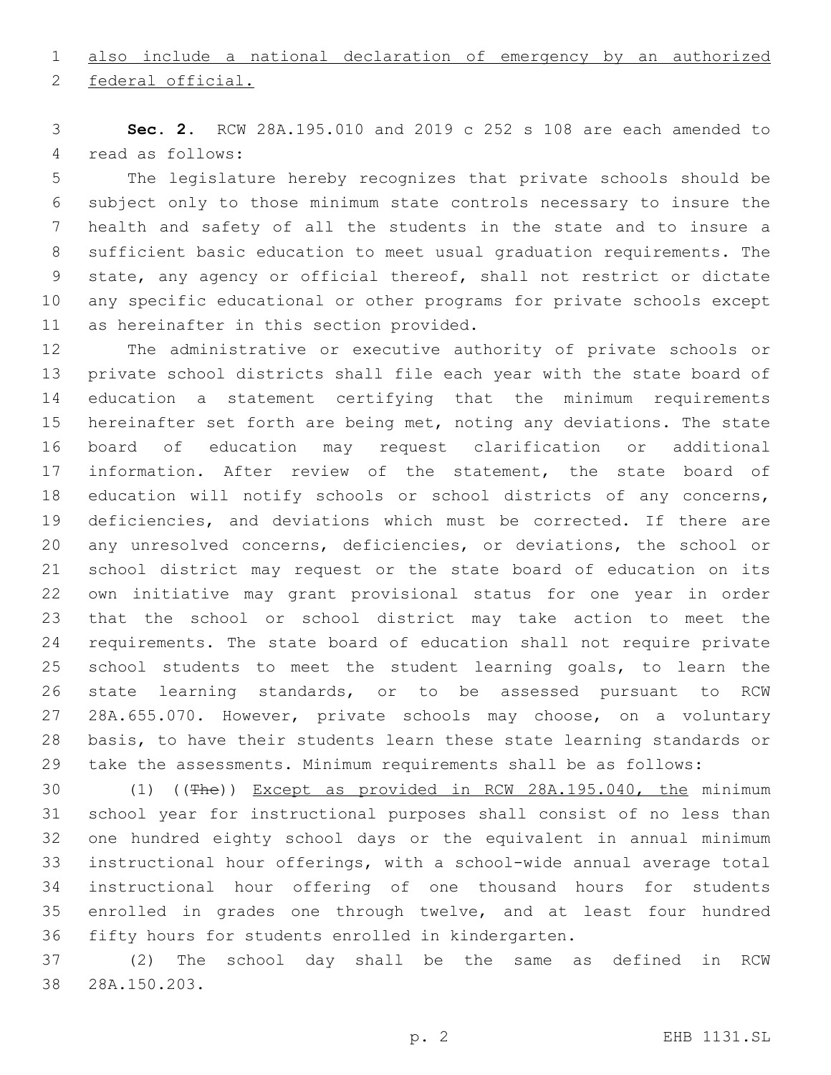# also include a national declaration of emergency by an authorized

2 federal official.

 **Sec. 2.** RCW 28A.195.010 and 2019 c 252 s 108 are each amended to 4 read as follows:

 The legislature hereby recognizes that private schools should be subject only to those minimum state controls necessary to insure the health and safety of all the students in the state and to insure a sufficient basic education to meet usual graduation requirements. The state, any agency or official thereof, shall not restrict or dictate any specific educational or other programs for private schools except 11 as hereinafter in this section provided.

 The administrative or executive authority of private schools or private school districts shall file each year with the state board of education a statement certifying that the minimum requirements hereinafter set forth are being met, noting any deviations. The state board of education may request clarification or additional information. After review of the statement, the state board of 18 education will notify schools or school districts of any concerns, deficiencies, and deviations which must be corrected. If there are any unresolved concerns, deficiencies, or deviations, the school or school district may request or the state board of education on its own initiative may grant provisional status for one year in order that the school or school district may take action to meet the requirements. The state board of education shall not require private school students to meet the student learning goals, to learn the state learning standards, or to be assessed pursuant to RCW 28A.655.070. However, private schools may choose, on a voluntary basis, to have their students learn these state learning standards or take the assessments. Minimum requirements shall be as follows:

 (1) ((The)) Except as provided in RCW 28A.195.040, the minimum school year for instructional purposes shall consist of no less than one hundred eighty school days or the equivalent in annual minimum instructional hour offerings, with a school-wide annual average total instructional hour offering of one thousand hours for students 35 enrolled in grades one through twelve, and at least four hundred fifty hours for students enrolled in kindergarten.

 (2) The school day shall be the same as defined in RCW 38 28A.150.203.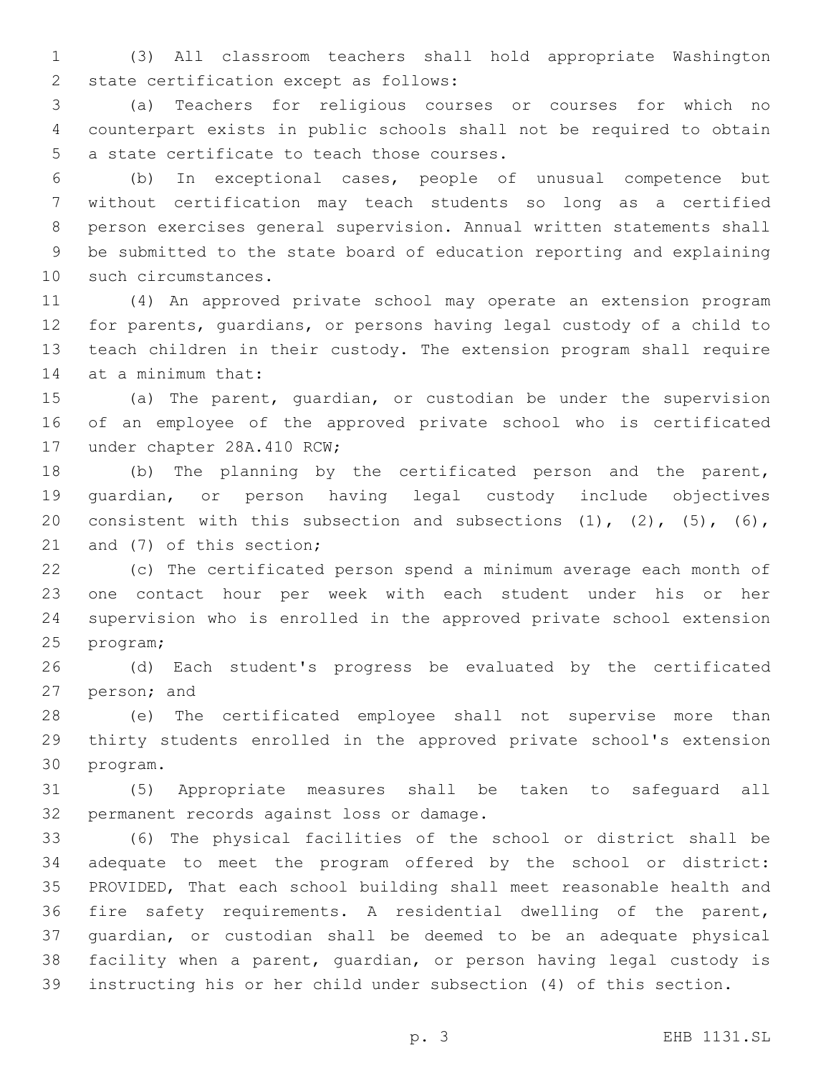(3) All classroom teachers shall hold appropriate Washington 2 state certification except as follows:

 (a) Teachers for religious courses or courses for which no counterpart exists in public schools shall not be required to obtain 5 a state certificate to teach those courses.

 (b) In exceptional cases, people of unusual competence but without certification may teach students so long as a certified person exercises general supervision. Annual written statements shall be submitted to the state board of education reporting and explaining 10 such circumstances.

 (4) An approved private school may operate an extension program for parents, guardians, or persons having legal custody of a child to teach children in their custody. The extension program shall require 14 at a minimum that:

 (a) The parent, guardian, or custodian be under the supervision of an employee of the approved private school who is certificated 17 under chapter 28A.410 RCW;

 (b) The planning by the certificated person and the parent, guardian, or person having legal custody include objectives 20 consistent with this subsection and subsections  $(1)$ ,  $(2)$ ,  $(5)$ ,  $(6)$ , 21 and (7) of this section;

 (c) The certificated person spend a minimum average each month of one contact hour per week with each student under his or her supervision who is enrolled in the approved private school extension 25 program;

 (d) Each student's progress be evaluated by the certificated 27 person; and

 (e) The certificated employee shall not supervise more than thirty students enrolled in the approved private school's extension 30 program.

 (5) Appropriate measures shall be taken to safeguard all 32 permanent records against loss or damage.

 (6) The physical facilities of the school or district shall be adequate to meet the program offered by the school or district: PROVIDED, That each school building shall meet reasonable health and fire safety requirements. A residential dwelling of the parent, guardian, or custodian shall be deemed to be an adequate physical facility when a parent, guardian, or person having legal custody is instructing his or her child under subsection (4) of this section.